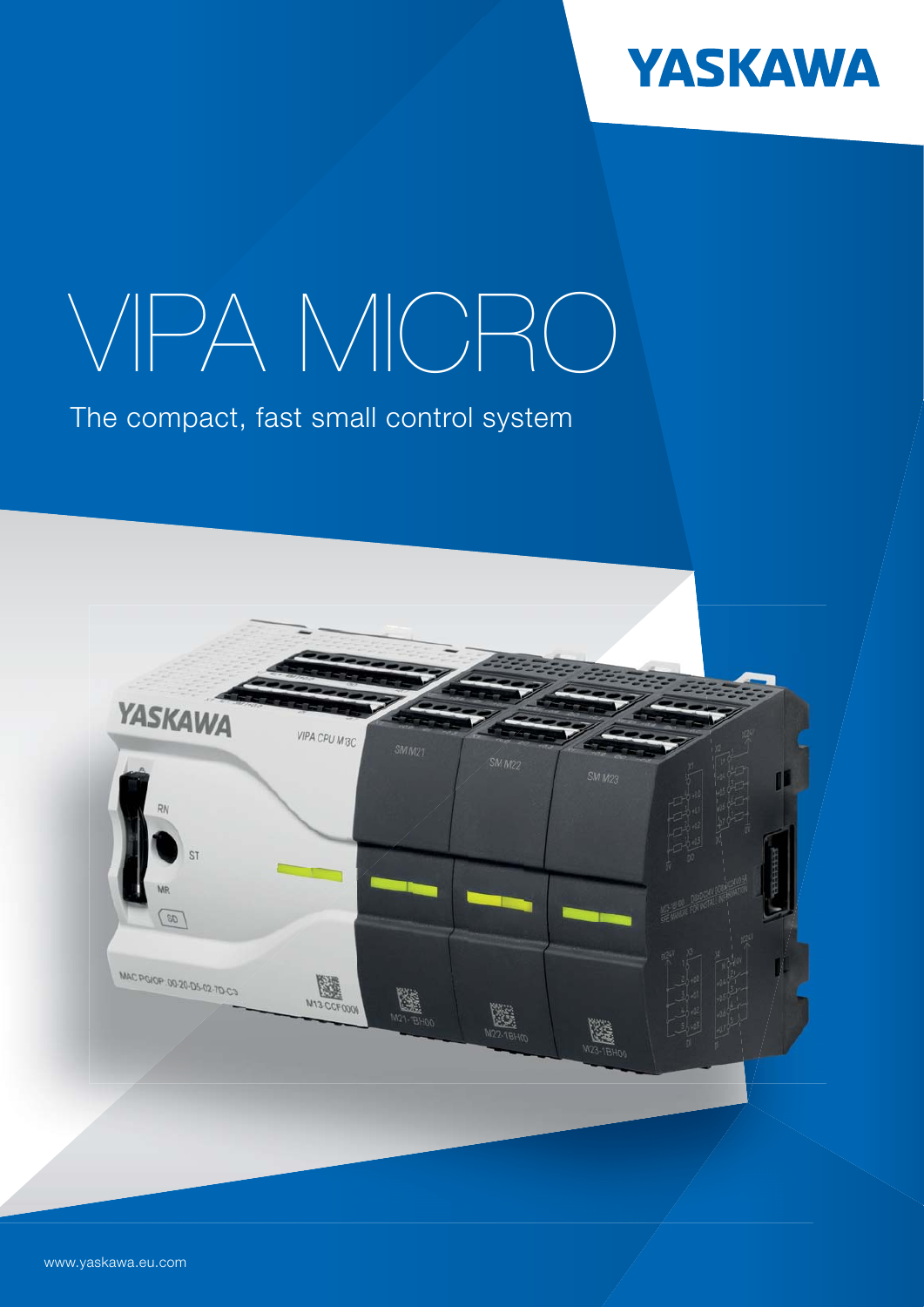

# VIPA MICRO

The compact, fast small control system

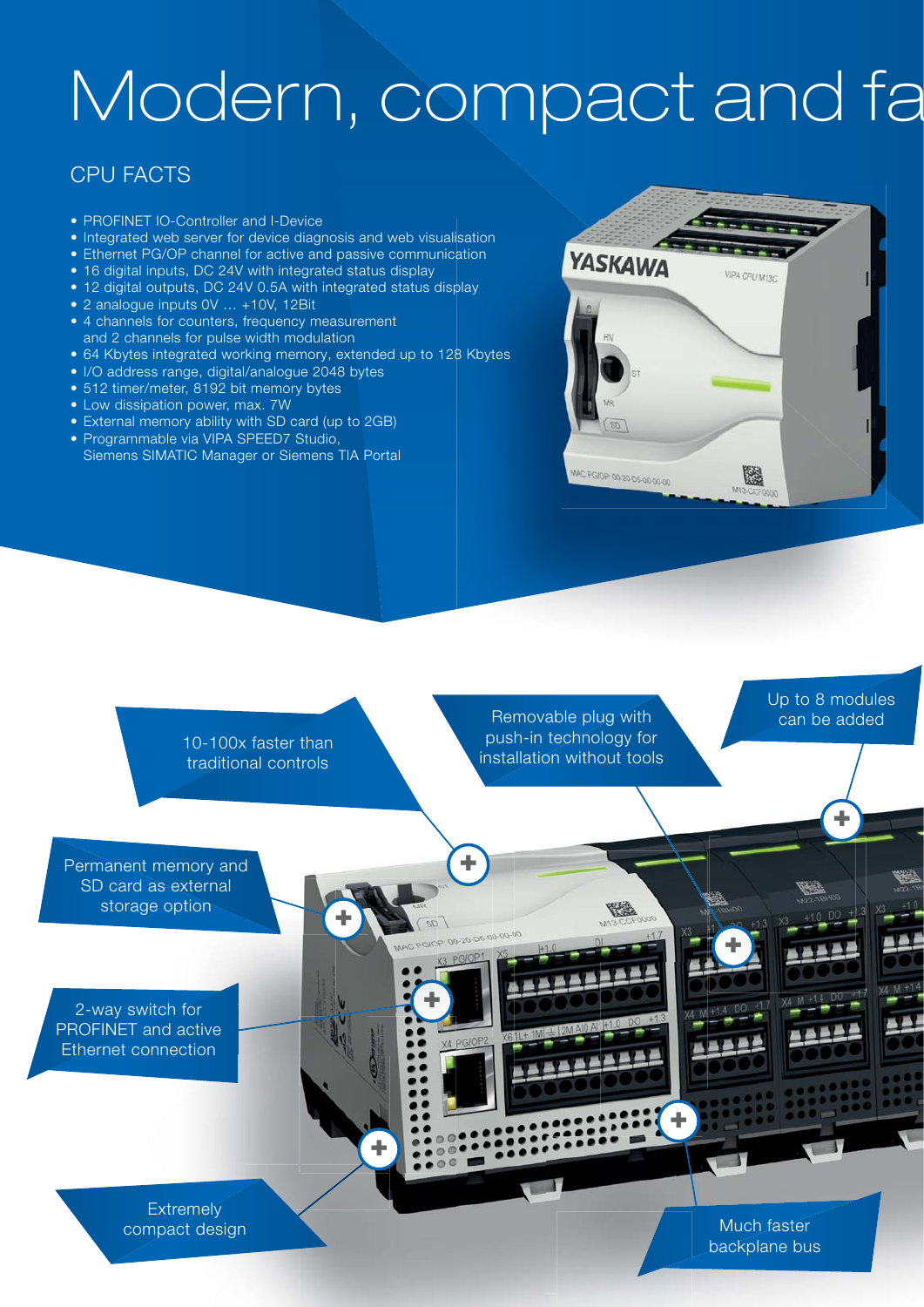## Modern, compact and fa

#### CPU FACTS

- PROFINET IO-Controller and I-Device
- Integrated web server for device diagnosis and web visualisation
- Ethernet PG/OP channel for active and passive communication
- 16 digital inputs, DC 24V with integrated status display
- 12 digital outputs, DC 24V 0.5A with integrated status display
- 2 analogue inputs 0V … +10V, 12Bit
- 4 channels for counters, frequency measurement and 2 channels for pulse width modulation
- 64 Kbytes integrated working memory, extended up to 128 Kbytes
- I/O address range, digital/analogue 2048 bytes
- 512 timer/meter, 8192 bit memory bytes
- Low dissipation power, max. 7W
- External memory ability with SD card (up to 2GB)
- Programmable via VIPA SPEED7 Studio, Siemens SIMATIC Manager or Siemens TIA Portal





compact design

Much faster backplane bus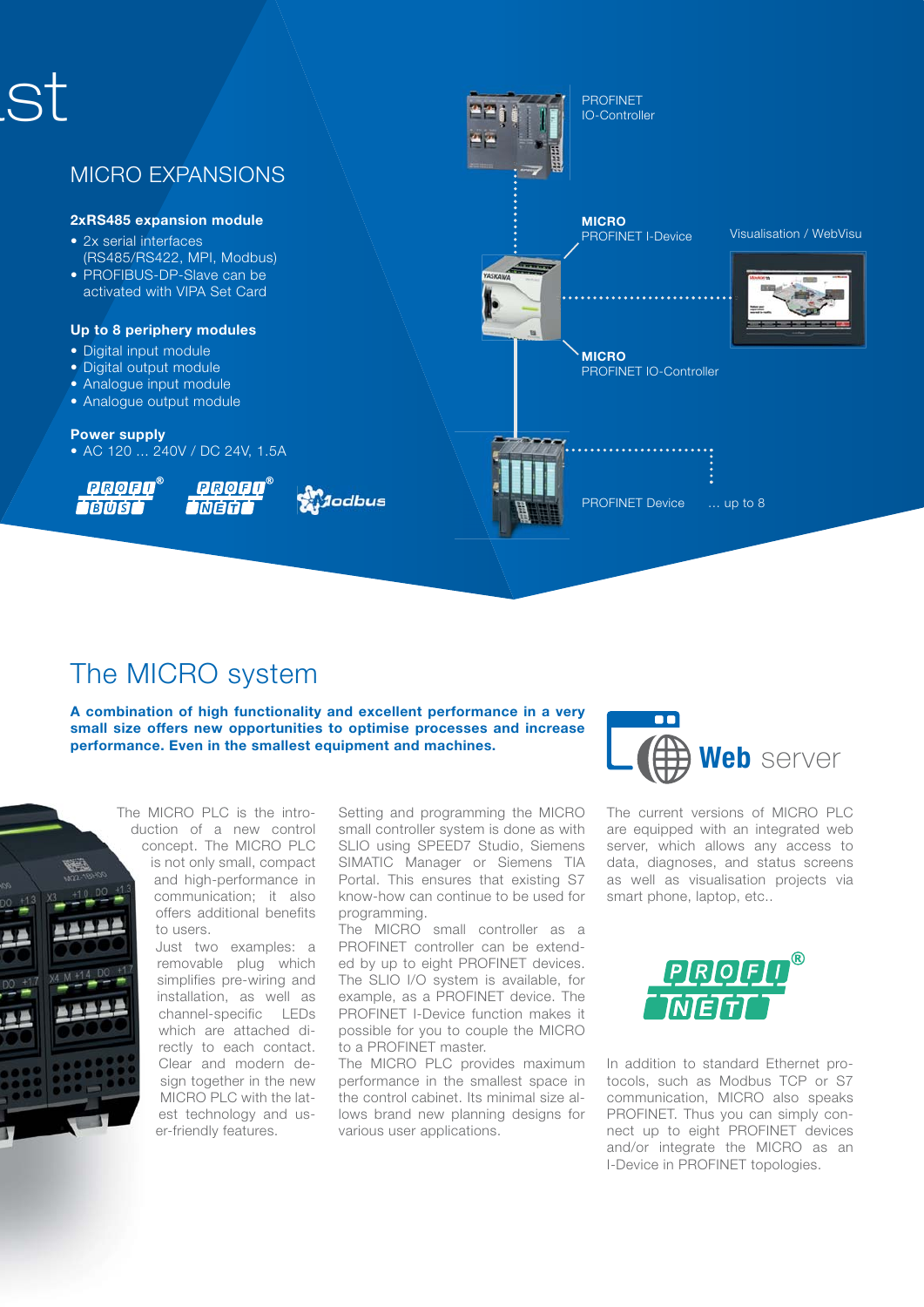

## The MICRO system

A combination of high functionality and excellent performance in a very small size offers new opportunities to optimise processes and increase performance. Even in the smallest equipment and machines.



The MICRO PLC is the introduction of a new control concept. The MICRO PLC is not only small, compact and high-performance in communication; it also offers additional benefits to users.

> Just two examples: a removable plug which simplifies pre-wiring and installation, as well as channel-specific LEDs which are attached directly to each contact. Clear and modern design together in the new MICRO PLC with the latest technology and user-friendly features.

Setting and programming the MICRO small controller system is done as with SLIO using SPEED7 Studio, Siemens SIMATIC Manager or Siemens TIA Portal. This ensures that existing S7 know-how can continue to be used for programming.

The MICRO small controller as a PROFINET controller can be extended by up to eight PROFINET devices. The SLIO I/O system is available, for example, as a PROFINET device. The PROFINET I-Device function makes it possible for you to couple the MICRO to a PROFINET master.

The MICRO PLC provides maximum performance in the smallest space in the control cabinet. Its minimal size allows brand new planning designs for various user applications.



The current versions of MICRO PLC are equipped with an integrated web server, which allows any access to data, diagnoses, and status screens as well as visualisation projects via smart phone, laptop, etc..



In addition to standard Ethernet protocols, such as Modbus TCP or S7 communication, MICRO also speaks PROFINET. Thus you can simply connect up to eight PROFINET devices and/or integrate the MICRO as an I-Device in PROFINET topologies.